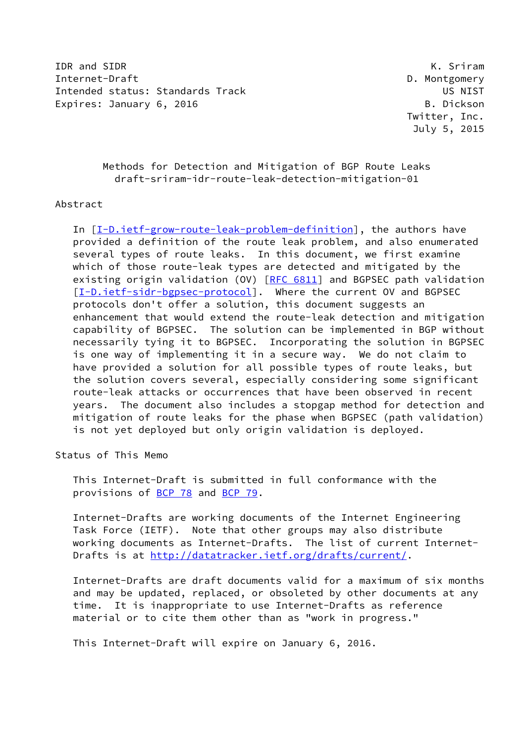IDR and SIDR K. Sriram Internet-Draft **D. Montgomery** Intended status: Standards Track US NIST Expires: January 6, 2016 B. Dickson

 Twitter, Inc. July 5, 2015

## Methods for Detection and Mitigation of BGP Route Leaks draft-sriram-idr-route-leak-detection-mitigation-01

#### Abstract

 In [[I-D.ietf-grow-route-leak-problem-definition\]](#page-15-0), the authors have provided a definition of the route leak problem, and also enumerated several types of route leaks. In this document, we first examine which of those route-leak types are detected and mitigated by the existing origin validation (OV) [\[RFC 6811](https://datatracker.ietf.org/doc/pdf/rfc6811)] and BGPSEC path validation [\[I-D.ietf-sidr-bgpsec-protocol](#page-16-0)]. Where the current OV and BGPSEC protocols don't offer a solution, this document suggests an enhancement that would extend the route-leak detection and mitigation capability of BGPSEC. The solution can be implemented in BGP without necessarily tying it to BGPSEC. Incorporating the solution in BGPSEC is one way of implementing it in a secure way. We do not claim to have provided a solution for all possible types of route leaks, but the solution covers several, especially considering some significant route-leak attacks or occurrences that have been observed in recent years. The document also includes a stopgap method for detection and mitigation of route leaks for the phase when BGPSEC (path validation) is not yet deployed but only origin validation is deployed.

## Status of This Memo

 This Internet-Draft is submitted in full conformance with the provisions of [BCP 78](https://datatracker.ietf.org/doc/pdf/bcp78) and [BCP 79](https://datatracker.ietf.org/doc/pdf/bcp79).

 Internet-Drafts are working documents of the Internet Engineering Task Force (IETF). Note that other groups may also distribute working documents as Internet-Drafts. The list of current Internet Drafts is at<http://datatracker.ietf.org/drafts/current/>.

 Internet-Drafts are draft documents valid for a maximum of six months and may be updated, replaced, or obsoleted by other documents at any time. It is inappropriate to use Internet-Drafts as reference material or to cite them other than as "work in progress."

This Internet-Draft will expire on January 6, 2016.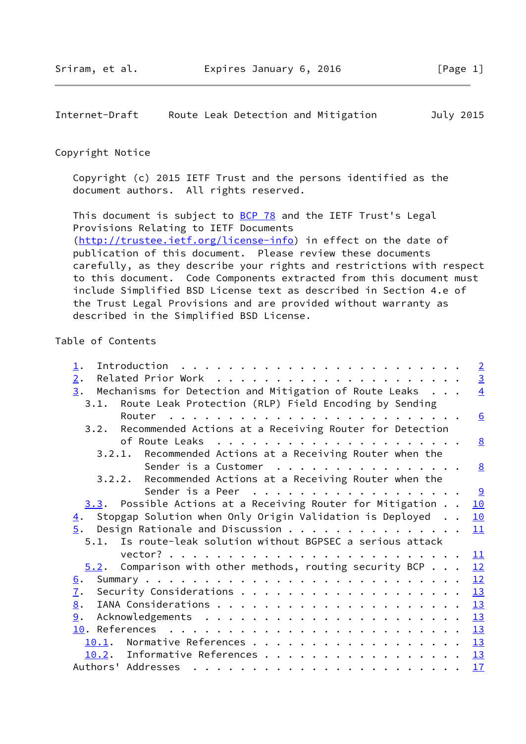<span id="page-1-0"></span>Internet-Draft Route Leak Detection and Mitigation July 2015

#### Copyright Notice

 Copyright (c) 2015 IETF Trust and the persons identified as the document authors. All rights reserved.

This document is subject to **[BCP 78](https://datatracker.ietf.org/doc/pdf/bcp78)** and the IETF Trust's Legal Provisions Relating to IETF Documents [\(http://trustee.ietf.org/license-info](http://trustee.ietf.org/license-info)) in effect on the date of publication of this document. Please review these documents carefully, as they describe your rights and restrictions with respect to this document. Code Components extracted from this document must include Simplified BSD License text as described in Section 4.e of the Trust Legal Provisions and are provided without warranty as described in the Simplified BSD License.

### Table of Contents

| $\perp$ .                                                                                                                                                                                                                                       | $\overline{2}$ |
|-------------------------------------------------------------------------------------------------------------------------------------------------------------------------------------------------------------------------------------------------|----------------|
| $\overline{2}$ .                                                                                                                                                                                                                                | $\overline{3}$ |
| Mechanisms for Detection and Mitigation of Route Leaks<br>3.                                                                                                                                                                                    | $\overline{4}$ |
| 3.1. Route Leak Protection (RLP) Field Encoding by Sending                                                                                                                                                                                      |                |
|                                                                                                                                                                                                                                                 | 6              |
| Recommended Actions at a Receiving Router for Detection<br>3.2.                                                                                                                                                                                 |                |
|                                                                                                                                                                                                                                                 | 8              |
| 3.2.1. Recommended Actions at a Receiving Router when the                                                                                                                                                                                       |                |
| Sender is a Customer                                                                                                                                                                                                                            | 8              |
| 3.2.2. Recommended Actions at a Receiving Router when the                                                                                                                                                                                       |                |
| Sender is a Peer                                                                                                                                                                                                                                | <u>୨</u>       |
| 3.3. Possible Actions at a Receiving Router for Mitigation                                                                                                                                                                                      | 10             |
| Stopgap Solution when Only Origin Validation is Deployed                                                                                                                                                                                        | 10             |
| $\overline{4}$ .<br>5.                                                                                                                                                                                                                          |                |
| Design Rationale and Discussion                                                                                                                                                                                                                 | 11             |
| 5.1. Is route-leak solution without BGPSEC a serious attack                                                                                                                                                                                     |                |
|                                                                                                                                                                                                                                                 | 11             |
| $5.2$ . Comparison with other methods, routing security BCP                                                                                                                                                                                     | 12             |
| <u>6</u> .                                                                                                                                                                                                                                      | 12             |
| $\underline{7}$ .                                                                                                                                                                                                                               | 13             |
| 8.                                                                                                                                                                                                                                              | 13             |
| 9.                                                                                                                                                                                                                                              | 13             |
| 10. References<br>. The contract of the contract of the contract of the contract of the contract of the contract of the contract of the contract of the contract of the contract of the contract of the contract of the contract of the contrac | 13             |
| Normative References 13<br>10.1.                                                                                                                                                                                                                |                |
| Informative References $\frac{13}{2}$<br>10.2.                                                                                                                                                                                                  |                |
| Authors' Addresses                                                                                                                                                                                                                              | 17             |
|                                                                                                                                                                                                                                                 |                |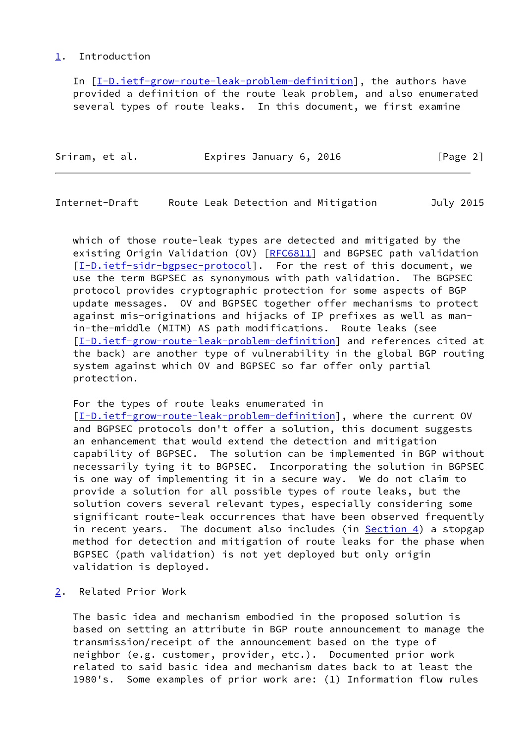### <span id="page-2-0"></span>[1](#page-2-0). Introduction

 In [[I-D.ietf-grow-route-leak-problem-definition\]](#page-15-0), the authors have provided a definition of the route leak problem, and also enumerated several types of route leaks. In this document, we first examine

| Sriram, et al. | Expires January 6, 2016 | [Page 2] |
|----------------|-------------------------|----------|
|                |                         |          |

<span id="page-2-2"></span>Internet-Draft Route Leak Detection and Mitigation July 2015

 which of those route-leak types are detected and mitigated by the existing Origin Validation (OV) [\[RFC6811](https://datatracker.ietf.org/doc/pdf/rfc6811)] and BGPSEC path validation [\[I-D.ietf-sidr-bgpsec-protocol](#page-16-0)]. For the rest of this document, we use the term BGPSEC as synonymous with path validation. The BGPSEC protocol provides cryptographic protection for some aspects of BGP update messages. OV and BGPSEC together offer mechanisms to protect against mis-originations and hijacks of IP prefixes as well as man in-the-middle (MITM) AS path modifications. Route leaks (see [\[I-D.ietf-grow-route-leak-problem-definition](#page-15-0)] and references cited at the back) are another type of vulnerability in the global BGP routing system against which OV and BGPSEC so far offer only partial protection.

### For the types of route leaks enumerated in

 [\[I-D.ietf-grow-route-leak-problem-definition](#page-15-0)], where the current OV and BGPSEC protocols don't offer a solution, this document suggests an enhancement that would extend the detection and mitigation capability of BGPSEC. The solution can be implemented in BGP without necessarily tying it to BGPSEC. Incorporating the solution in BGPSEC is one way of implementing it in a secure way. We do not claim to provide a solution for all possible types of route leaks, but the solution covers several relevant types, especially considering some significant route-leak occurrences that have been observed frequently in recent years. The document also includes (in [Section 4](#page-10-2)) a stopgap method for detection and mitigation of route leaks for the phase when BGPSEC (path validation) is not yet deployed but only origin validation is deployed.

<span id="page-2-1"></span>[2](#page-2-1). Related Prior Work

 The basic idea and mechanism embodied in the proposed solution is based on setting an attribute in BGP route announcement to manage the transmission/receipt of the announcement based on the type of neighbor (e.g. customer, provider, etc.). Documented prior work related to said basic idea and mechanism dates back to at least the 1980's. Some examples of prior work are: (1) Information flow rules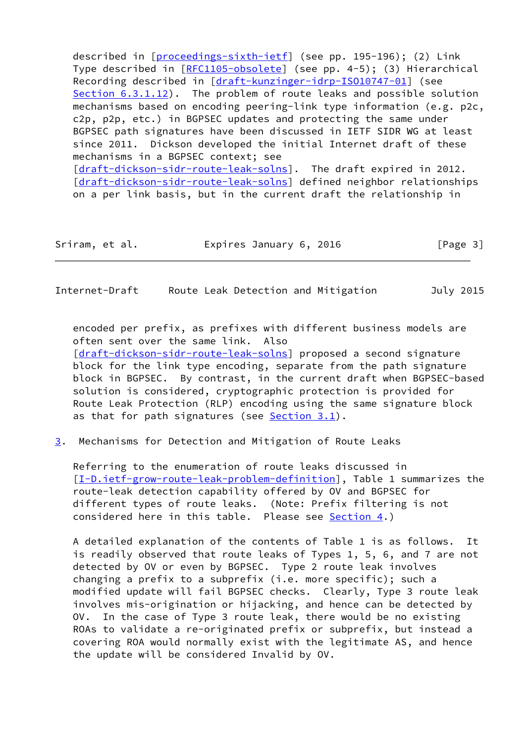described in [\[proceedings-sixth-ietf](#page-17-0)] (see pp. 195-196); (2) Link Type described in [[RFC1105-obsolete\]](#page-17-1) (see pp. 4-5); (3) Hierarchical Recording described in [\[draft-kunzinger-idrp-ISO10747-01](https://datatracker.ietf.org/doc/pdf/draft-kunzinger-idrp-ISO10747-01)] (see Section 6.3.1.12). The problem of route leaks and possible solution mechanisms based on encoding peering-link type information (e.g. p2c, c2p, p2p, etc.) in BGPSEC updates and protecting the same under BGPSEC path signatures have been discussed in IETF SIDR WG at least since 2011. Dickson developed the initial Internet draft of these mechanisms in a BGPSEC context; see [\[draft-dickson-sidr-route-leak-solns](https://datatracker.ietf.org/doc/pdf/draft-dickson-sidr-route-leak-solns)]. The draft expired in 2012. [\[draft-dickson-sidr-route-leak-solns](https://datatracker.ietf.org/doc/pdf/draft-dickson-sidr-route-leak-solns)] defined neighbor relationships on a per link basis, but in the current draft the relationship in

| Sriram, et al. | Expires January 6, 2016 | [Page 3] |
|----------------|-------------------------|----------|
|----------------|-------------------------|----------|

<span id="page-3-1"></span>Internet-Draft Route Leak Detection and Mitigation July 2015

 encoded per prefix, as prefixes with different business models are often sent over the same link. Also [\[draft-dickson-sidr-route-leak-solns](https://datatracker.ietf.org/doc/pdf/draft-dickson-sidr-route-leak-solns)] proposed a second signature block for the link type encoding, separate from the path signature block in BGPSEC. By contrast, in the current draft when BGPSEC-based solution is considered, cryptographic protection is provided for Route Leak Protection (RLP) encoding using the same signature block as that for path signatures (see  $Section 3.1$ ).

<span id="page-3-0"></span>[3](#page-3-0). Mechanisms for Detection and Mitigation of Route Leaks

 Referring to the enumeration of route leaks discussed in [\[I-D.ietf-grow-route-leak-problem-definition](#page-15-0)], Table 1 summarizes the route-leak detection capability offered by OV and BGPSEC for different types of route leaks. (Note: Prefix filtering is not considered here in this table. Please see [Section 4.](#page-10-2))

 A detailed explanation of the contents of Table 1 is as follows. It is readily observed that route leaks of Types 1, 5, 6, and 7 are not detected by OV or even by BGPSEC. Type 2 route leak involves changing a prefix to a subprefix (i.e. more specific); such a modified update will fail BGPSEC checks. Clearly, Type 3 route leak involves mis-origination or hijacking, and hence can be detected by OV. In the case of Type 3 route leak, there would be no existing ROAs to validate a re-originated prefix or subprefix, but instead a covering ROA would normally exist with the legitimate AS, and hence the update will be considered Invalid by OV.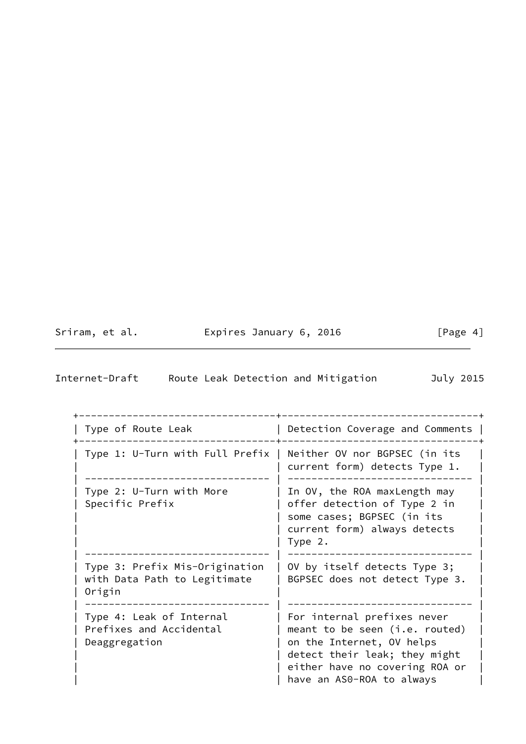| Sriram, et al. |  |
|----------------|--|
|                |  |

Expires January 6, 2016 [Page 4]

| Internet-Draft |  |  | Route Leak Detection and Mitigation | July 2015 |  |
|----------------|--|--|-------------------------------------|-----------|--|
|                |  |  |                                     |           |  |

| Type of Route Leak                                                       | Detection Coverage and Comments                                                                                                                                                            |
|--------------------------------------------------------------------------|--------------------------------------------------------------------------------------------------------------------------------------------------------------------------------------------|
| Type 1: U-Turn with Full Prefix                                          | Neither OV nor BGPSEC (in its<br>current form) detects Type 1.                                                                                                                             |
| Type 2: U-Turn with More<br>Specific Prefix                              | In OV, the ROA maxLength may<br>offer detection of Type 2 in<br>some cases; BGPSEC (in its<br>current form) always detects<br>Type 2.                                                      |
| Type 3: Prefix Mis-Origination<br>with Data Path to Legitimate<br>Origin | OV by itself detects Type 3;<br>BGPSEC does not detect Type 3.                                                                                                                             |
| Type 4: Leak of Internal<br>Prefixes and Accidental<br>Deaggregation     | For internal prefixes never<br>meant to be seen (i.e. routed)<br>on the Internet, OV helps<br>detect their leak; they might<br>either have no covering ROA or<br>have an AS0-ROA to always |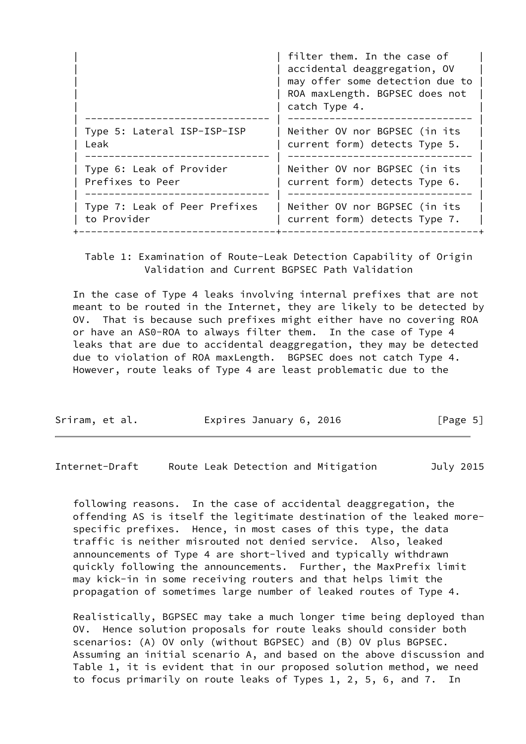|                               | filter them. In the case of<br>accidental deaggregation, OV<br>may offer some detection due to<br>ROA maxLength. BGPSEC does not<br>catch Type 4. |
|-------------------------------|---------------------------------------------------------------------------------------------------------------------------------------------------|
| Type 5: Lateral ISP-ISP-ISP   | Neither OV nor BGPSEC (in its                                                                                                                     |
| Leak                          | current form) detects Type 5.                                                                                                                     |
| Type 6: Leak of Provider      | Neither OV nor BGPSEC (in its                                                                                                                     |
| Prefixes to Peer              | current form) detects Type 6.                                                                                                                     |
| Type 7: Leak of Peer Prefixes | Neither OV nor BGPSEC (in its                                                                                                                     |
| to Provider                   | current form) detects Type 7.                                                                                                                     |

 Table 1: Examination of Route-Leak Detection Capability of Origin Validation and Current BGPSEC Path Validation

 In the case of Type 4 leaks involving internal prefixes that are not meant to be routed in the Internet, they are likely to be detected by OV. That is because such prefixes might either have no covering ROA or have an AS0-ROA to always filter them. In the case of Type 4 leaks that are due to accidental deaggregation, they may be detected due to violation of ROA maxLength. BGPSEC does not catch Type 4. However, route leaks of Type 4 are least problematic due to the

| Sriram, et al. | Expires January 6, 2016 | [Page 5] |
|----------------|-------------------------|----------|
|----------------|-------------------------|----------|

<span id="page-5-0"></span>Internet-Draft Route Leak Detection and Mitigation July 2015

 following reasons. In the case of accidental deaggregation, the offending AS is itself the legitimate destination of the leaked more specific prefixes. Hence, in most cases of this type, the data traffic is neither misrouted not denied service. Also, leaked announcements of Type 4 are short-lived and typically withdrawn quickly following the announcements. Further, the MaxPrefix limit may kick-in in some receiving routers and that helps limit the propagation of sometimes large number of leaked routes of Type 4.

 Realistically, BGPSEC may take a much longer time being deployed than OV. Hence solution proposals for route leaks should consider both scenarios: (A) OV only (without BGPSEC) and (B) OV plus BGPSEC. Assuming an initial scenario A, and based on the above discussion and Table 1, it is evident that in our proposed solution method, we need to focus primarily on route leaks of Types 1, 2, 5, 6, and 7. In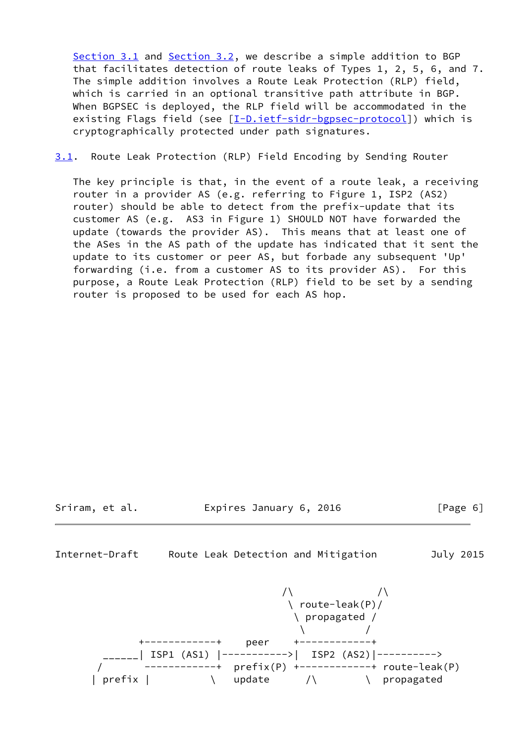[Section 3.1](#page-6-0) and [Section 3.2](#page-8-0), we describe a simple addition to BGP that facilitates detection of route leaks of Types 1, 2, 5, 6, and 7. The simple addition involves a Route Leak Protection (RLP) field, which is carried in an optional transitive path attribute in BGP. When BGPSEC is deployed, the RLP field will be accommodated in the existing Flags field (see [[I-D.ietf-sidr-bgpsec-protocol\]](#page-16-0)) which is cryptographically protected under path signatures.

<span id="page-6-0"></span>[3.1](#page-6-0). Route Leak Protection (RLP) Field Encoding by Sending Router

 The key principle is that, in the event of a route leak, a receiving router in a provider AS (e.g. referring to Figure 1, ISP2 (AS2) router) should be able to detect from the prefix-update that its customer AS (e.g. AS3 in Figure 1) SHOULD NOT have forwarded the update (towards the provider AS). This means that at least one of the ASes in the AS path of the update has indicated that it sent the update to its customer or peer AS, but forbade any subsequent 'Up' forwarding (i.e. from a customer AS to its provider AS). For this purpose, a Route Leak Protection (RLP) field to be set by a sending router is proposed to be used for each AS hop.

Sriram, et al. Expires January 6, 2016 [Page 6]

Internet-Draft Route Leak Detection and Mitigation July 2015

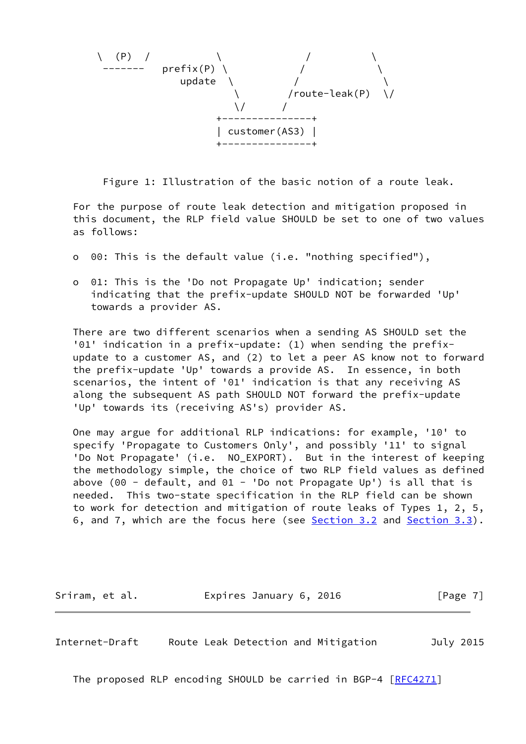

Figure 1: Illustration of the basic notion of a route leak.

 For the purpose of route leak detection and mitigation proposed in this document, the RLP field value SHOULD be set to one of two values as follows:

- o 00: This is the default value (i.e. "nothing specified"),
- o 01: This is the 'Do not Propagate Up' indication; sender indicating that the prefix-update SHOULD NOT be forwarded 'Up' towards a provider AS.

 There are two different scenarios when a sending AS SHOULD set the '01' indication in a prefix-update: (1) when sending the prefix update to a customer AS, and (2) to let a peer AS know not to forward the prefix-update 'Up' towards a provide AS. In essence, in both scenarios, the intent of '01' indication is that any receiving AS along the subsequent AS path SHOULD NOT forward the prefix-update 'Up' towards its (receiving AS's) provider AS.

 One may argue for additional RLP indications: for example, '10' to specify 'Propagate to Customers Only', and possibly '11' to signal 'Do Not Propagate' (i.e. NO\_EXPORT). But in the interest of keeping the methodology simple, the choice of two RLP field values as defined above (00 - default, and 01 - 'Do not Propagate Up') is all that is needed. This two-state specification in the RLP field can be shown to work for detection and mitigation of route leaks of Types 1, 2, 5, 6, and 7, which are the focus here (see [Section 3.2](#page-8-0) and [Section 3.3](#page-10-0)).

Sriram, et al. **Expires January 6, 2016** [Page 7]

<span id="page-7-0"></span>Internet-Draft Route Leak Detection and Mitigation July 2015

The proposed RLP encoding SHOULD be carried in BGP-4 [\[RFC4271](https://datatracker.ietf.org/doc/pdf/rfc4271)]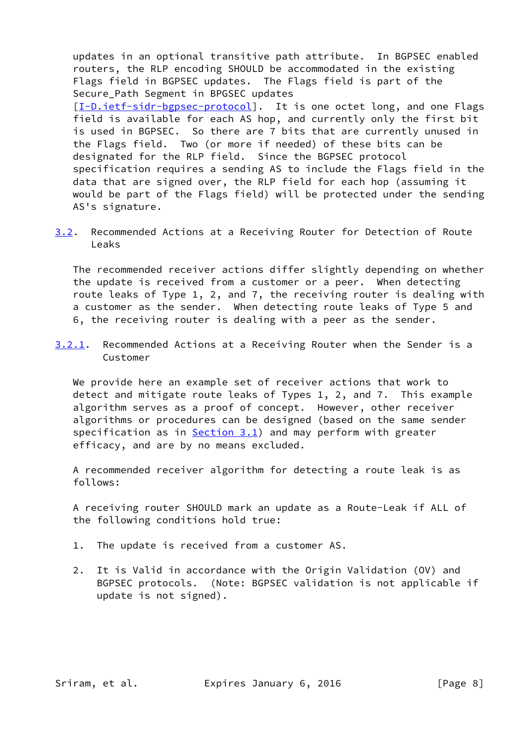updates in an optional transitive path attribute. In BGPSEC enabled routers, the RLP encoding SHOULD be accommodated in the existing Flags field in BGPSEC updates. The Flags field is part of the Secure Path Segment in BPGSEC updates [\[I-D.ietf-sidr-bgpsec-protocol](#page-16-0)]. It is one octet long, and one Flags field is available for each AS hop, and currently only the first bit is used in BGPSEC. So there are 7 bits that are currently unused in the Flags field. Two (or more if needed) of these bits can be designated for the RLP field. Since the BGPSEC protocol specification requires a sending AS to include the Flags field in the data that are signed over, the RLP field for each hop (assuming it would be part of the Flags field) will be protected under the sending AS's signature.

<span id="page-8-0"></span>[3.2](#page-8-0). Recommended Actions at a Receiving Router for Detection of Route Leaks

 The recommended receiver actions differ slightly depending on whether the update is received from a customer or a peer. When detecting route leaks of Type 1, 2, and 7, the receiving router is dealing with a customer as the sender. When detecting route leaks of Type 5 and 6, the receiving router is dealing with a peer as the sender.

<span id="page-8-1"></span>[3.2.1](#page-8-1). Recommended Actions at a Receiving Router when the Sender is a Customer

 We provide here an example set of receiver actions that work to detect and mitigate route leaks of Types 1, 2, and 7. This example algorithm serves as a proof of concept. However, other receiver algorithms or procedures can be designed (based on the same sender specification as in  $Section 3.1$ ) and may perform with greater efficacy, and are by no means excluded.

 A recommended receiver algorithm for detecting a route leak is as follows:

 A receiving router SHOULD mark an update as a Route-Leak if ALL of the following conditions hold true:

- 1. The update is received from a customer AS.
- 2. It is Valid in accordance with the Origin Validation (OV) and BGPSEC protocols. (Note: BGPSEC validation is not applicable if update is not signed).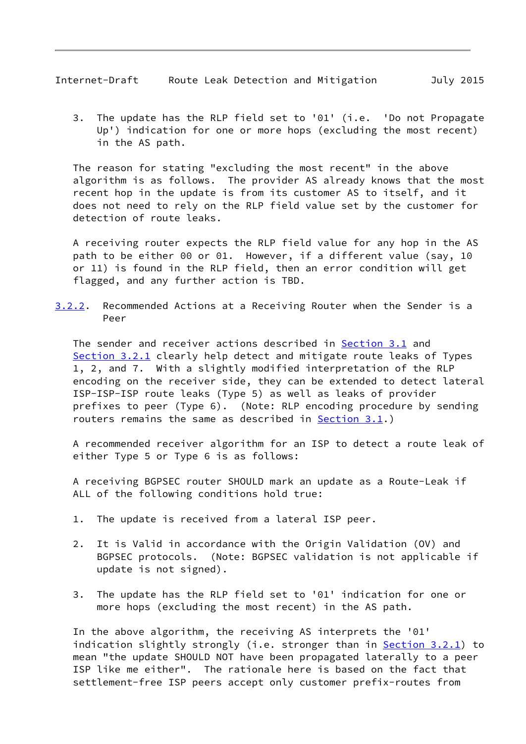<span id="page-9-0"></span>Internet-Draft Route Leak Detection and Mitigation July 2015

 3. The update has the RLP field set to '01' (i.e. 'Do not Propagate Up') indication for one or more hops (excluding the most recent) in the AS path.

 The reason for stating "excluding the most recent" in the above algorithm is as follows. The provider AS already knows that the most recent hop in the update is from its customer AS to itself, and it does not need to rely on the RLP field value set by the customer for detection of route leaks.

 A receiving router expects the RLP field value for any hop in the AS path to be either 00 or 01. However, if a different value (say, 10 or 11) is found in the RLP field, then an error condition will get flagged, and any further action is TBD.

<span id="page-9-1"></span>[3.2.2](#page-9-1). Recommended Actions at a Receiving Router when the Sender is a Peer

 The sender and receiver actions described in [Section 3.1](#page-6-0) and [Section 3.2.1](#page-8-1) clearly help detect and mitigate route leaks of Types 1, 2, and 7. With a slightly modified interpretation of the RLP encoding on the receiver side, they can be extended to detect lateral ISP-ISP-ISP route leaks (Type 5) as well as leaks of provider prefixes to peer (Type 6). (Note: RLP encoding procedure by sending routers remains the same as described in [Section 3.1](#page-6-0).)

 A recommended receiver algorithm for an ISP to detect a route leak of either Type 5 or Type 6 is as follows:

 A receiving BGPSEC router SHOULD mark an update as a Route-Leak if ALL of the following conditions hold true:

- 1. The update is received from a lateral ISP peer.
- 2. It is Valid in accordance with the Origin Validation (OV) and BGPSEC protocols. (Note: BGPSEC validation is not applicable if update is not signed).
- 3. The update has the RLP field set to '01' indication for one or more hops (excluding the most recent) in the AS path.

 In the above algorithm, the receiving AS interprets the '01' indication slightly strongly (i.e. stronger than in **Section 3.2.1**) to mean "the update SHOULD NOT have been propagated laterally to a peer ISP like me either". The rationale here is based on the fact that settlement-free ISP peers accept only customer prefix-routes from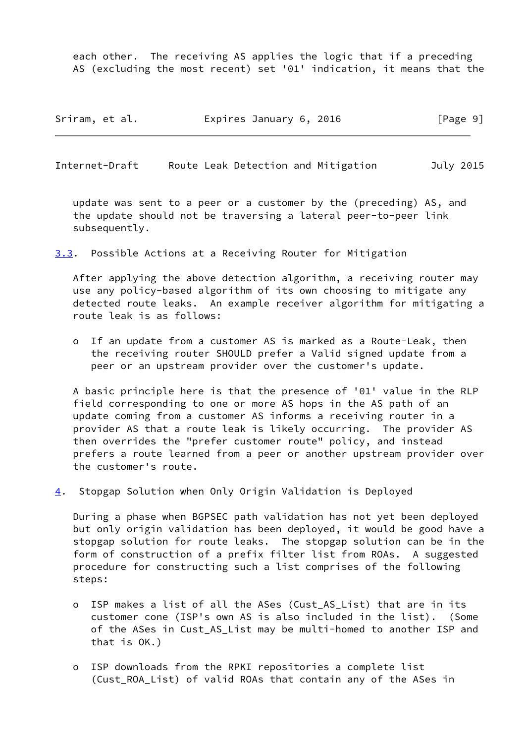each other. The receiving AS applies the logic that if a preceding AS (excluding the most recent) set '01' indication, it means that the

| Sriram, et al. | Expires January 6, 2016 | [Page 9] |
|----------------|-------------------------|----------|
|----------------|-------------------------|----------|

<span id="page-10-1"></span>Internet-Draft Route Leak Detection and Mitigation July 2015

 update was sent to a peer or a customer by the (preceding) AS, and the update should not be traversing a lateral peer-to-peer link subsequently.

<span id="page-10-0"></span>[3.3](#page-10-0). Possible Actions at a Receiving Router for Mitigation

 After applying the above detection algorithm, a receiving router may use any policy-based algorithm of its own choosing to mitigate any detected route leaks. An example receiver algorithm for mitigating a route leak is as follows:

 o If an update from a customer AS is marked as a Route-Leak, then the receiving router SHOULD prefer a Valid signed update from a peer or an upstream provider over the customer's update.

 A basic principle here is that the presence of '01' value in the RLP field corresponding to one or more AS hops in the AS path of an update coming from a customer AS informs a receiving router in a provider AS that a route leak is likely occurring. The provider AS then overrides the "prefer customer route" policy, and instead prefers a route learned from a peer or another upstream provider over the customer's route.

<span id="page-10-2"></span>[4](#page-10-2). Stopgap Solution when Only Origin Validation is Deployed

 During a phase when BGPSEC path validation has not yet been deployed but only origin validation has been deployed, it would be good have a stopgap solution for route leaks. The stopgap solution can be in the form of construction of a prefix filter list from ROAs. A suggested procedure for constructing such a list comprises of the following steps:

- o ISP makes a list of all the ASes (Cust\_AS\_List) that are in its customer cone (ISP's own AS is also included in the list). (Some of the ASes in Cust\_AS\_List may be multi-homed to another ISP and that is OK.)
- o ISP downloads from the RPKI repositories a complete list (Cust\_ROA\_List) of valid ROAs that contain any of the ASes in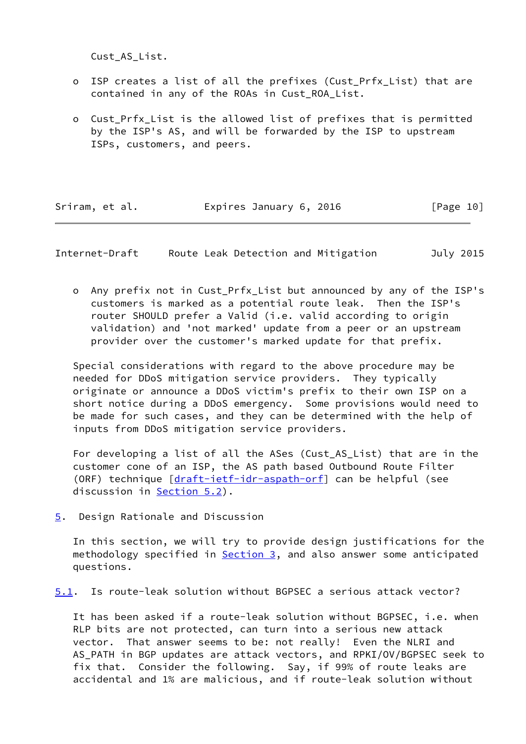Cust\_AS\_List.

- o ISP creates a list of all the prefixes (Cust\_Prfx\_List) that are contained in any of the ROAs in Cust\_ROA\_List.
- o Cust Prfx List is the allowed list of prefixes that is permitted by the ISP's AS, and will be forwarded by the ISP to upstream ISPs, customers, and peers.

| Sriram, et al. | Expires January 6, 2016 | [Page 10] |
|----------------|-------------------------|-----------|
|----------------|-------------------------|-----------|

<span id="page-11-1"></span>Internet-Draft Route Leak Detection and Mitigation July 2015

 o Any prefix not in Cust\_Prfx\_List but announced by any of the ISP's customers is marked as a potential route leak. Then the ISP's router SHOULD prefer a Valid (i.e. valid according to origin validation) and 'not marked' update from a peer or an upstream provider over the customer's marked update for that prefix.

 Special considerations with regard to the above procedure may be needed for DDoS mitigation service providers. They typically originate or announce a DDoS victim's prefix to their own ISP on a short notice during a DDoS emergency. Some provisions would need to be made for such cases, and they can be determined with the help of inputs from DDoS mitigation service providers.

For developing a list of all the ASes (Cust AS List) that are in the customer cone of an ISP, the AS path based Outbound Route Filter (ORF) technique [\[draft-ietf-idr-aspath-orf](https://datatracker.ietf.org/doc/pdf/draft-ietf-idr-aspath-orf)] can be helpful (see discussion in **Section 5.2**).

<span id="page-11-0"></span>[5](#page-11-0). Design Rationale and Discussion

 In this section, we will try to provide design justifications for the methodology specified in **Section 3**, and also answer some anticipated questions.

<span id="page-11-2"></span>[5.1](#page-11-2). Is route-leak solution without BGPSEC a serious attack vector?

 It has been asked if a route-leak solution without BGPSEC, i.e. when RLP bits are not protected, can turn into a serious new attack vector. That answer seems to be: not really! Even the NLRI and AS\_PATH in BGP updates are attack vectors, and RPKI/OV/BGPSEC seek to fix that. Consider the following. Say, if 99% of route leaks are accidental and 1% are malicious, and if route-leak solution without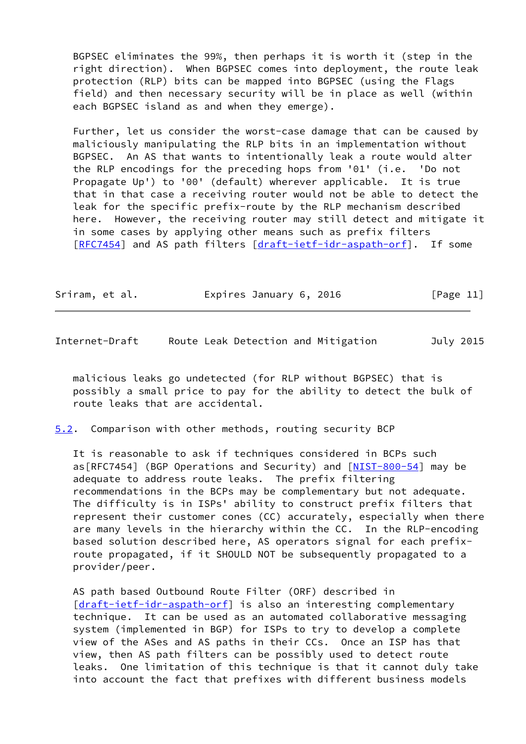BGPSEC eliminates the 99%, then perhaps it is worth it (step in the right direction). When BGPSEC comes into deployment, the route leak protection (RLP) bits can be mapped into BGPSEC (using the Flags field) and then necessary security will be in place as well (within each BGPSEC island as and when they emerge).

 Further, let us consider the worst-case damage that can be caused by maliciously manipulating the RLP bits in an implementation without BGPSEC. An AS that wants to intentionally leak a route would alter the RLP encodings for the preceding hops from '01' (i.e. 'Do not Propagate Up') to '00' (default) wherever applicable. It is true that in that case a receiving router would not be able to detect the leak for the specific prefix-route by the RLP mechanism described here. However, the receiving router may still detect and mitigate it in some cases by applying other means such as prefix filters [\[RFC7454](https://datatracker.ietf.org/doc/pdf/rfc7454)] and AS path filters [[draft-ietf-idr-aspath-orf\]](https://datatracker.ietf.org/doc/pdf/draft-ietf-idr-aspath-orf). If some

| Sriram, et al. | Expires January 6, 2016 | [Page 11] |
|----------------|-------------------------|-----------|
|                |                         |           |

<span id="page-12-1"></span>Internet-Draft Route Leak Detection and Mitigation July 2015

 malicious leaks go undetected (for RLP without BGPSEC) that is possibly a small price to pay for the ability to detect the bulk of route leaks that are accidental.

<span id="page-12-0"></span>[5.2](#page-12-0). Comparison with other methods, routing security BCP

 It is reasonable to ask if techniques considered in BCPs such as[RFC7454] (BGP Operations and Security) and [[NIST-800-54](#page-17-2)] may be adequate to address route leaks. The prefix filtering recommendations in the BCPs may be complementary but not adequate. The difficulty is in ISPs' ability to construct prefix filters that represent their customer cones (CC) accurately, especially when there are many levels in the hierarchy within the CC. In the RLP-encoding based solution described here, AS operators signal for each prefix route propagated, if it SHOULD NOT be subsequently propagated to a provider/peer.

 AS path based Outbound Route Filter (ORF) described in [\[draft-ietf-idr-aspath-orf](https://datatracker.ietf.org/doc/pdf/draft-ietf-idr-aspath-orf)] is also an interesting complementary technique. It can be used as an automated collaborative messaging system (implemented in BGP) for ISPs to try to develop a complete view of the ASes and AS paths in their CCs. Once an ISP has that view, then AS path filters can be possibly used to detect route leaks. One limitation of this technique is that it cannot duly take into account the fact that prefixes with different business models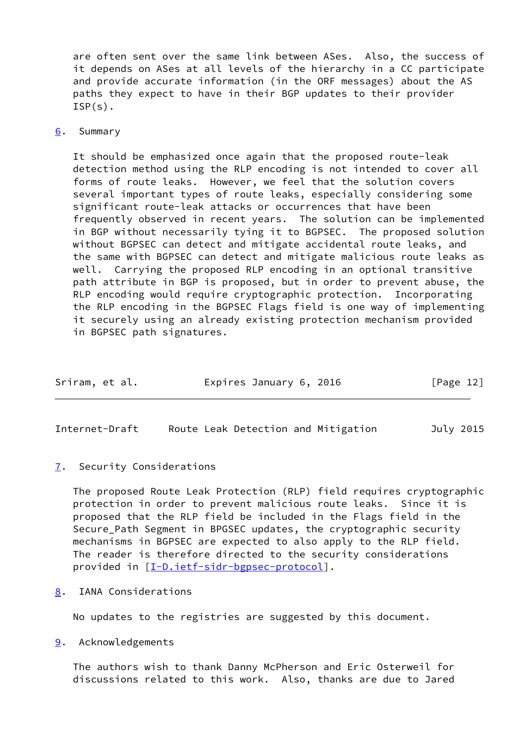are often sent over the same link between ASes. Also, the success of it depends on ASes at all levels of the hierarchy in a CC participate and provide accurate information (in the ORF messages) about the AS paths they expect to have in their BGP updates to their provider  $ISP(s)$ .

#### <span id="page-13-0"></span>[6](#page-13-0). Summary

 It should be emphasized once again that the proposed route-leak detection method using the RLP encoding is not intended to cover all forms of route leaks. However, we feel that the solution covers several important types of route leaks, especially considering some significant route-leak attacks or occurrences that have been frequently observed in recent years. The solution can be implemented in BGP without necessarily tying it to BGPSEC. The proposed solution without BGPSEC can detect and mitigate accidental route leaks, and the same with BGPSEC can detect and mitigate malicious route leaks as well. Carrying the proposed RLP encoding in an optional transitive path attribute in BGP is proposed, but in order to prevent abuse, the RLP encoding would require cryptographic protection. Incorporating the RLP encoding in the BGPSEC Flags field is one way of implementing it securely using an already existing protection mechanism provided in BGPSEC path signatures.

| Sriram, et al. | Expires January 6, 2016 | [Page 12] |
|----------------|-------------------------|-----------|
|----------------|-------------------------|-----------|

<span id="page-13-2"></span>Internet-Draft Route Leak Detection and Mitigation July 2015

<span id="page-13-1"></span>[7](#page-13-1). Security Considerations

 The proposed Route Leak Protection (RLP) field requires cryptographic protection in order to prevent malicious route leaks. Since it is proposed that the RLP field be included in the Flags field in the Secure\_Path Segment in BPGSEC updates, the cryptographic security mechanisms in BGPSEC are expected to also apply to the RLP field. The reader is therefore directed to the security considerations provided in [\[I-D.ietf-sidr-bgpsec-protocol](#page-16-0)].

<span id="page-13-3"></span>[8](#page-13-3). IANA Considerations

No updates to the registries are suggested by this document.

<span id="page-13-4"></span>[9](#page-13-4). Acknowledgements

 The authors wish to thank Danny McPherson and Eric Osterweil for discussions related to this work. Also, thanks are due to Jared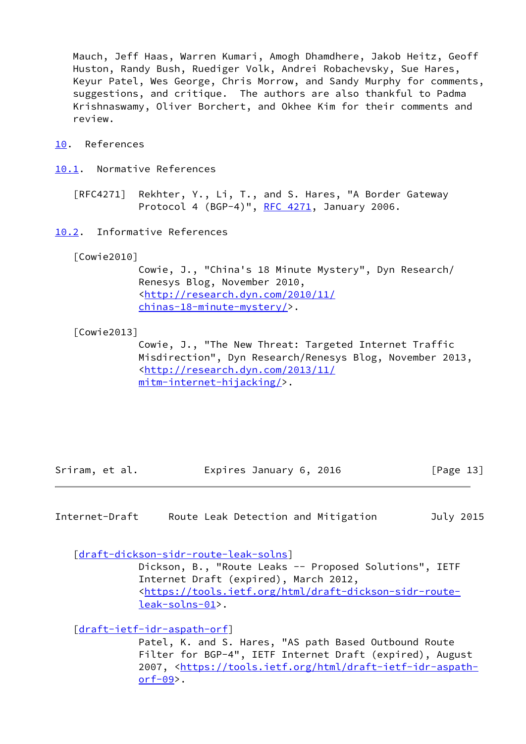Mauch, Jeff Haas, Warren Kumari, Amogh Dhamdhere, Jakob Heitz, Geoff Huston, Randy Bush, Ruediger Volk, Andrei Robachevsky, Sue Hares, Keyur Patel, Wes George, Chris Morrow, and Sandy Murphy for comments, suggestions, and critique. The authors are also thankful to Padma Krishnaswamy, Oliver Borchert, and Okhee Kim for their comments and review.

<span id="page-14-0"></span>[10.](#page-14-0) References

<span id="page-14-1"></span>[10.1](#page-14-1). Normative References

 [RFC4271] Rekhter, Y., Li, T., and S. Hares, "A Border Gateway Protocol 4 (BGP-4)", [RFC 4271](https://datatracker.ietf.org/doc/pdf/rfc4271), January 2006.

<span id="page-14-2"></span>[10.2](#page-14-2). Informative References

[Cowie2010]

 Cowie, J., "China's 18 Minute Mystery", Dyn Research/ Renesys Blog, November 2010, <[http://research.dyn.com/2010/11/](http://research.dyn.com/2010/11/chinas-18-minute-mystery/) [chinas-18-minute-mystery/>](http://research.dyn.com/2010/11/chinas-18-minute-mystery/).

[Cowie2013]

 Cowie, J., "The New Threat: Targeted Internet Traffic Misdirection", Dyn Research/Renesys Blog, November 2013, <[http://research.dyn.com/2013/11/](http://research.dyn.com/2013/11/mitm-internet-hijacking/) [mitm-internet-hijacking/>](http://research.dyn.com/2013/11/mitm-internet-hijacking/).

Sriram, et al. **Expires January 6, 2016** [Page 13]

Internet-Draft Route Leak Detection and Mitigation July 2015

[\[draft-dickson-sidr-route-leak-solns](https://datatracker.ietf.org/doc/pdf/draft-dickson-sidr-route-leak-solns)]

 Dickson, B., "Route Leaks -- Proposed Solutions", IETF Internet Draft (expired), March 2012, <[https://tools.ietf.org/html/draft-dickson-sidr-route](https://tools.ietf.org/html/draft-dickson-sidr-route-leak-solns-01) [leak-solns-01>](https://tools.ietf.org/html/draft-dickson-sidr-route-leak-solns-01).

[\[draft-ietf-idr-aspath-orf](https://datatracker.ietf.org/doc/pdf/draft-ietf-idr-aspath-orf)]

 Patel, K. and S. Hares, "AS path Based Outbound Route Filter for BGP-4", IETF Internet Draft (expired), August 2007, [<https://tools.ietf.org/html/draft-ietf-idr-aspath](https://tools.ietf.org/html/draft-ietf-idr-aspath-orf-09)[orf-09](https://tools.ietf.org/html/draft-ietf-idr-aspath-orf-09)>.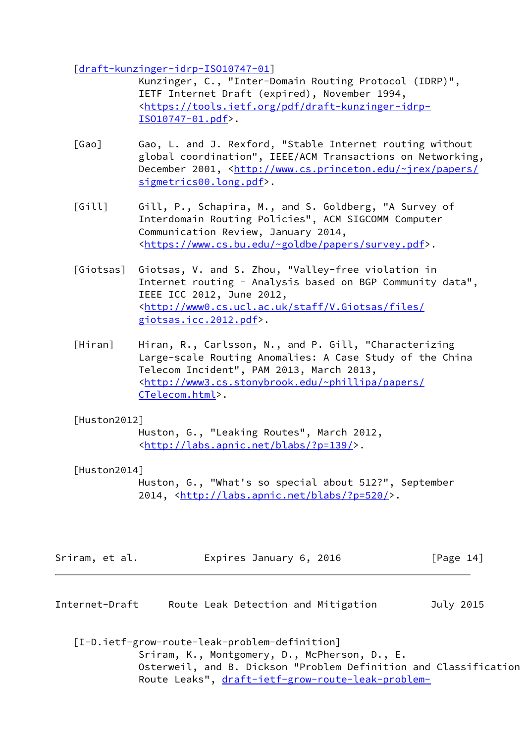[\[draft-kunzinger-idrp-ISO10747-01](https://datatracker.ietf.org/doc/pdf/draft-kunzinger-idrp-ISO10747-01)]

 Kunzinger, C., "Inter-Domain Routing Protocol (IDRP)", IETF Internet Draft (expired), November 1994, <[https://tools.ietf.org/pdf/draft-kunzinger-idrp-](https://tools.ietf.org/pdf/draft-kunzinger-idrp-ISO10747-01.pdf) [ISO10747-01.pdf](https://tools.ietf.org/pdf/draft-kunzinger-idrp-ISO10747-01.pdf)>.

- [Gao] Gao, L. and J. Rexford, "Stable Internet routing without global coordination", IEEE/ACM Transactions on Networking, December 2001, <[http://www.cs.princeton.edu/~jrex/papers/](http://www.cs.princeton.edu/~jrex/papers/sigmetrics00.long.pdf) [sigmetrics00.long.pdf>](http://www.cs.princeton.edu/~jrex/papers/sigmetrics00.long.pdf).
- [Gill] Gill, P., Schapira, M., and S. Goldberg, "A Survey of Interdomain Routing Policies", ACM SIGCOMM Computer Communication Review, January 2014, <[https://www.cs.bu.edu/~goldbe/papers/survey.pdf>](https://www.cs.bu.edu/~goldbe/papers/survey.pdf).
- [Giotsas] Giotsas, V. and S. Zhou, "Valley-free violation in Internet routing - Analysis based on BGP Community data", IEEE ICC 2012, June 2012, <[http://www0.cs.ucl.ac.uk/staff/V.Giotsas/files/](http://www0.cs.ucl.ac.uk/staff/V.Giotsas/files/giotsas.icc.2012.pdf) [giotsas.icc.2012.pdf>](http://www0.cs.ucl.ac.uk/staff/V.Giotsas/files/giotsas.icc.2012.pdf).
- [Hiran] Hiran, R., Carlsson, N., and P. Gill, "Characterizing Large-scale Routing Anomalies: A Case Study of the China Telecom Incident", PAM 2013, March 2013, <[http://www3.cs.stonybrook.edu/~phillipa/papers/](http://www3.cs.stonybrook.edu/~phillipa/papers/CTelecom.html) [CTelecom.html>](http://www3.cs.stonybrook.edu/~phillipa/papers/CTelecom.html).

## [Huston2012]

 Huston, G., "Leaking Routes", March 2012, <[http://labs.apnic.net/blabs/?p=139/>](http://labs.apnic.net/blabs/?p=139/).

# [Huston2014]

 Huston, G., "What's so special about 512?", September 2014, [<http://labs.apnic.net/blabs/?p=520/](http://labs.apnic.net/blabs/?p=520/)>.

| Sriram, et al. | Expires January 6, 2016 |  | [Page 14] |
|----------------|-------------------------|--|-----------|
|----------------|-------------------------|--|-----------|

Internet-Draft Route Leak Detection and Mitigation July 2015

<span id="page-15-0"></span> [I-D.ietf-grow-route-leak-problem-definition] Sriram, K., Montgomery, D., McPherson, D., E. Osterweil, and B. Dickson "Problem Definition and Classification Route Leaks", [draft-ietf-grow-route-leak-problem-](https://datatracker.ietf.org/doc/pdf/draft-ietf-grow-route-leak-problem-definition-02)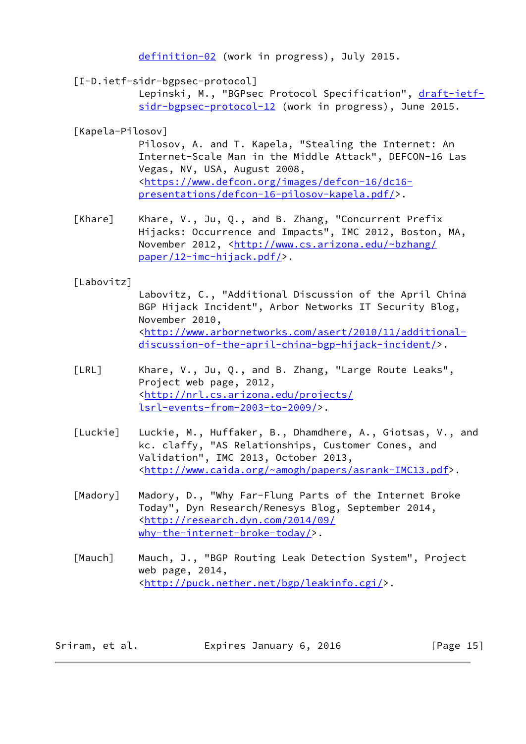[definition-02](https://datatracker.ietf.org/doc/pdf/draft-ietf-grow-route-leak-problem-definition-02) (work in progress), July 2015.

<span id="page-16-0"></span>[I-D.ietf-sidr-bgpsec-protocol]

Lepinski, M., "BGPsec Protocol Specification", [draft-ietf](https://datatracker.ietf.org/doc/pdf/draft-ietf-sidr-bgpsec-protocol-12) [sidr-bgpsec-protocol-12](https://datatracker.ietf.org/doc/pdf/draft-ietf-sidr-bgpsec-protocol-12) (work in progress), June 2015.

## [Kapela-Pilosov]

 Pilosov, A. and T. Kapela, "Stealing the Internet: An Internet-Scale Man in the Middle Attack", DEFCON-16 Las Vegas, NV, USA, August 2008, <[https://www.defcon.org/images/defcon-16/dc16](https://www.defcon.org/images/defcon-16/dc16-presentations/defcon-16-pilosov-kapela.pdf/) [presentations/defcon-16-pilosov-kapela.pdf/](https://www.defcon.org/images/defcon-16/dc16-presentations/defcon-16-pilosov-kapela.pdf/)>.

 [Khare] Khare, V., Ju, Q., and B. Zhang, "Concurrent Prefix Hijacks: Occurrence and Impacts", IMC 2012, Boston, MA, November 2012, <[http://www.cs.arizona.edu/~bzhang/](http://www.cs.arizona.edu/~bzhang/paper/12-imc-hijack.pdf/) [paper/12-imc-hijack.pdf/>](http://www.cs.arizona.edu/~bzhang/paper/12-imc-hijack.pdf/).

## [Labovitz]

 Labovitz, C., "Additional Discussion of the April China BGP Hijack Incident", Arbor Networks IT Security Blog, November 2010, <[http://www.arbornetworks.com/asert/2010/11/additional](http://www.arbornetworks.com/asert/2010/11/additional-discussion-of-the-april-china-bgp-hijack-incident/) [discussion-of-the-april-china-bgp-hijack-incident/>](http://www.arbornetworks.com/asert/2010/11/additional-discussion-of-the-april-china-bgp-hijack-incident/).

- [LRL] Khare, V., Ju, Q., and B. Zhang, "Large Route Leaks", Project web page, 2012, <[http://nrl.cs.arizona.edu/projects/](http://nrl.cs.arizona.edu/projects/lsrl-events-from-2003-to-2009/) [lsrl-events-from-2003-to-2009/](http://nrl.cs.arizona.edu/projects/lsrl-events-from-2003-to-2009/)>.
- [Luckie] Luckie, M., Huffaker, B., Dhamdhere, A., Giotsas, V., and kc. claffy, "AS Relationships, Customer Cones, and Validation", IMC 2013, October 2013, <[http://www.caida.org/~amogh/papers/asrank-IMC13.pdf>](http://www.caida.org/~amogh/papers/asrank-IMC13.pdf).
- [Madory] Madory, D., "Why Far-Flung Parts of the Internet Broke Today", Dyn Research/Renesys Blog, September 2014, <[http://research.dyn.com/2014/09/](http://research.dyn.com/2014/09/why-the-internet-broke-today/) [why-the-internet-broke-today/>](http://research.dyn.com/2014/09/why-the-internet-broke-today/).
- [Mauch] Mauch, J., "BGP Routing Leak Detection System", Project web page, 2014, <[http://puck.nether.net/bgp/leakinfo.cgi/>](http://puck.nether.net/bgp/leakinfo.cgi/).

| Sriram, et al. | Expires January 6, 2016 | [Page 15] |
|----------------|-------------------------|-----------|
|----------------|-------------------------|-----------|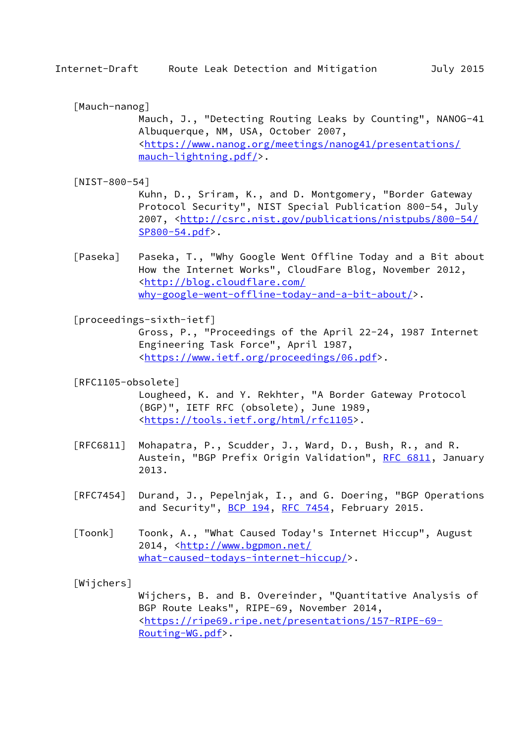[Mauch-nanog]

 Mauch, J., "Detecting Routing Leaks by Counting", NANOG-41 Albuquerque, NM, USA, October 2007, <[https://www.nanog.org/meetings/nanog41/presentations/](https://www.nanog.org/meetings/nanog41/presentations/mauch-lightning.pdf/) [mauch-lightning.pdf/>](https://www.nanog.org/meetings/nanog41/presentations/mauch-lightning.pdf/).

<span id="page-17-2"></span>[NIST-800-54]

 Kuhn, D., Sriram, K., and D. Montgomery, "Border Gateway Protocol Security", NIST Special Publication 800-54, July 2007, [<http://csrc.nist.gov/publications/nistpubs/800-54/](http://csrc.nist.gov/publications/nistpubs/800-54/SP800-54.pdf) [SP800-54.pdf>](http://csrc.nist.gov/publications/nistpubs/800-54/SP800-54.pdf).

 [Paseka] Paseka, T., "Why Google Went Offline Today and a Bit about How the Internet Works", CloudFare Blog, November 2012, <[http://blog.cloudflare.com/](http://blog.cloudflare.com/why-google-went-offline-today-and-a-bit-about/) [why-google-went-offline-today-and-a-bit-about/](http://blog.cloudflare.com/why-google-went-offline-today-and-a-bit-about/)>.

<span id="page-17-0"></span>[proceedings-sixth-ietf]

 Gross, P., "Proceedings of the April 22-24, 1987 Internet Engineering Task Force", April 1987, <[https://www.ietf.org/proceedings/06.pdf>](https://www.ietf.org/proceedings/06.pdf).

<span id="page-17-1"></span>[RFC1105-obsolete]

 Lougheed, K. and Y. Rekhter, "A Border Gateway Protocol (BGP)", IETF RFC (obsolete), June 1989, <[https://tools.ietf.org/html/rfc1105>](https://tools.ietf.org/html/rfc1105).

- [RFC6811] Mohapatra, P., Scudder, J., Ward, D., Bush, R., and R. Austein, "BGP Prefix Origin Validation", [RFC 6811,](https://datatracker.ietf.org/doc/pdf/rfc6811) January 2013.
- [RFC7454] Durand, J., Pepelnjak, I., and G. Doering, "BGP Operations and Security", [BCP 194](https://datatracker.ietf.org/doc/pdf/bcp194), [RFC 7454,](https://datatracker.ietf.org/doc/pdf/rfc7454) February 2015.
- [Toonk] Toonk, A., "What Caused Today's Internet Hiccup", August 2014, [<http://www.bgpmon.net/](http://www.bgpmon.net/what-caused-todays-internet-hiccup/) [what-caused-todays-internet-hiccup/](http://www.bgpmon.net/what-caused-todays-internet-hiccup/)>.

[Wijchers]

 Wijchers, B. and B. Overeinder, "Quantitative Analysis of BGP Route Leaks", RIPE-69, November 2014, <[https://ripe69.ripe.net/presentations/157-RIPE-69-](https://ripe69.ripe.net/presentations/157-RIPE-69-Routing-WG.pdf) [Routing-WG.pdf](https://ripe69.ripe.net/presentations/157-RIPE-69-Routing-WG.pdf)>.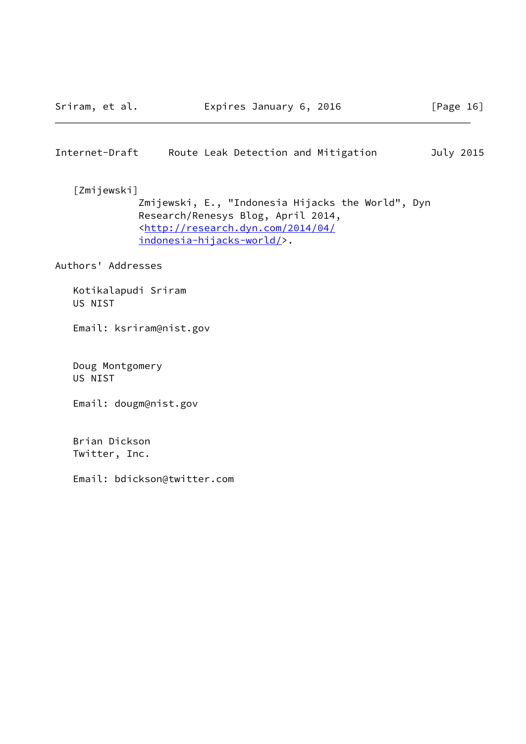## <span id="page-18-0"></span>Internet-Draft Route Leak Detection and Mitigation July 2015

 [Zmijewski] Zmijewski, E., "Indonesia Hijacks the World", Dyn Research/Renesys Blog, April 2014, <[http://research.dyn.com/2014/04/](http://research.dyn.com/2014/04/indonesia-hijacks-world/) [indonesia-hijacks-world/>](http://research.dyn.com/2014/04/indonesia-hijacks-world/).

Authors' Addresses

 Kotikalapudi Sriram US NIST

Email: ksriram@nist.gov

 Doug Montgomery US NIST

Email: dougm@nist.gov

 Brian Dickson Twitter, Inc.

Email: bdickson@twitter.com